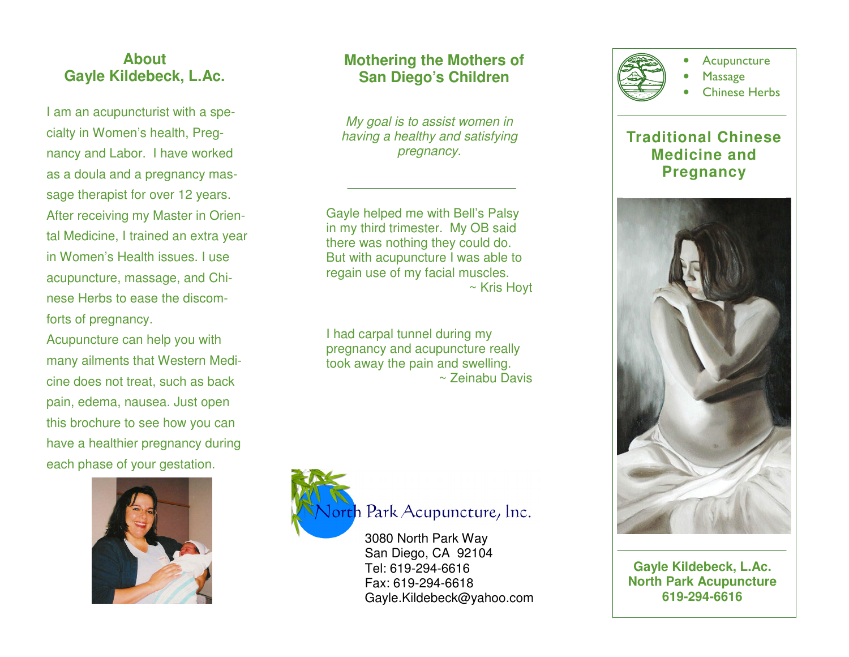## **About Gayle Kildebeck, L.Ac.**

I am an acupuncturist with a specialty in Women's health, Pregnancy and Labor. I have worked as a doula and a pregnancy massage therapist for over 12 years. After receiving my Master in Oriental Medicine, I trained an extra year in Women's Health issues. I use acupuncture, massage, and Chinese Herbs to ease the discomforts of pregnancy.

Acupuncture can help you with many ailments that Western Medicine does not treat, such as back pain, edema, nausea. Just open this brochure to see how you can have a healthier pregnancy during each phase of your gestation.



# **Mothering the Mothers of San Diego's Children**

My goal is to assist women in having a healthy and satisfying pregnancy.

Gayle helped me with Bell's Palsy in my third trimester. My OB said there was nothing they could do. But with acupuncture I was able to regain use of my facial muscles. ~ Kris Hoyt

I had carpal tunnel during my pregnancy and acupuncture really took away the pain and swelling. ~ Zeinabu Davis



3080 North Park Way San Diego, CA 92104 Tel: 619-294-6616 Fax: 619-294-6618 Gayle.Kildebeck@yahoo.com



**Gayle Kildebeck, L.Ac. North Park Acupuncture 619-294-6616**